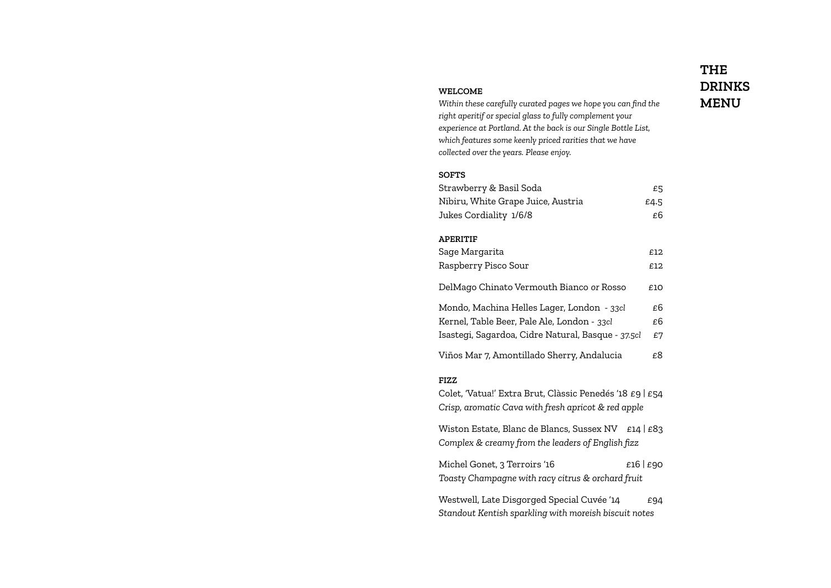#### **WELCOME**

*Within these carefully curated pages we hope you can find the right aperitif or special glass to fully complement your experience at Portland. At the back is our Single Bottle List, which features some keenly priced rarities that we have collected over the years. Please enjoy.*

### **SOFTS**

| Strawberry & Basil Soda            | £5      |
|------------------------------------|---------|
| Nibiru, White Grape Juice, Austria | £4.5    |
| Jukes Cordiality 1/6/8             | £ĥ      |
|                                    |         |
| <b>APERITIF</b>                    |         |
| Sage Margarita                     | £12     |
| Raepharry Dieco Sour               | د 1 - 2 |

| Raspberry Pisco Sour                               | F. I. Z. |
|----------------------------------------------------|----------|
| DelMago Chinato Vermouth Bianco or Rosso           | £10      |
| Mondo, Machina Helles Lager, London - 33cl         | £6       |
| Kernel, Table Beer, Pale Ale, London - 33cl        | £6       |
| Isastegi, Sagardoa, Cidre Natural, Basque - 37.5cl | £7       |
|                                                    |          |

Viños Mar 7, Amontillado Sherry, Andalucia £8

## **FIZZ**

Colet, 'Vatua!' Extra Brut, Clàssic Penedés '18 £9 | £54 *Crisp, aromatic Cava with fresh apricot & red apple*

Wiston Estate, Blanc de Blancs, Sussex NV £14 | £83 *Complex & creamy from the leaders of English fizz*

Michel Gonet, 3 Terroirs '16  $E16 | E90$ *Toasty Champagne with racy citrus & orchard fruit*

Westwell, Late Disgorged Special Cuvée '14  $E94$ *Standout Kentish sparkling with moreish biscuit notes*

# **THE DRINKS MENU**